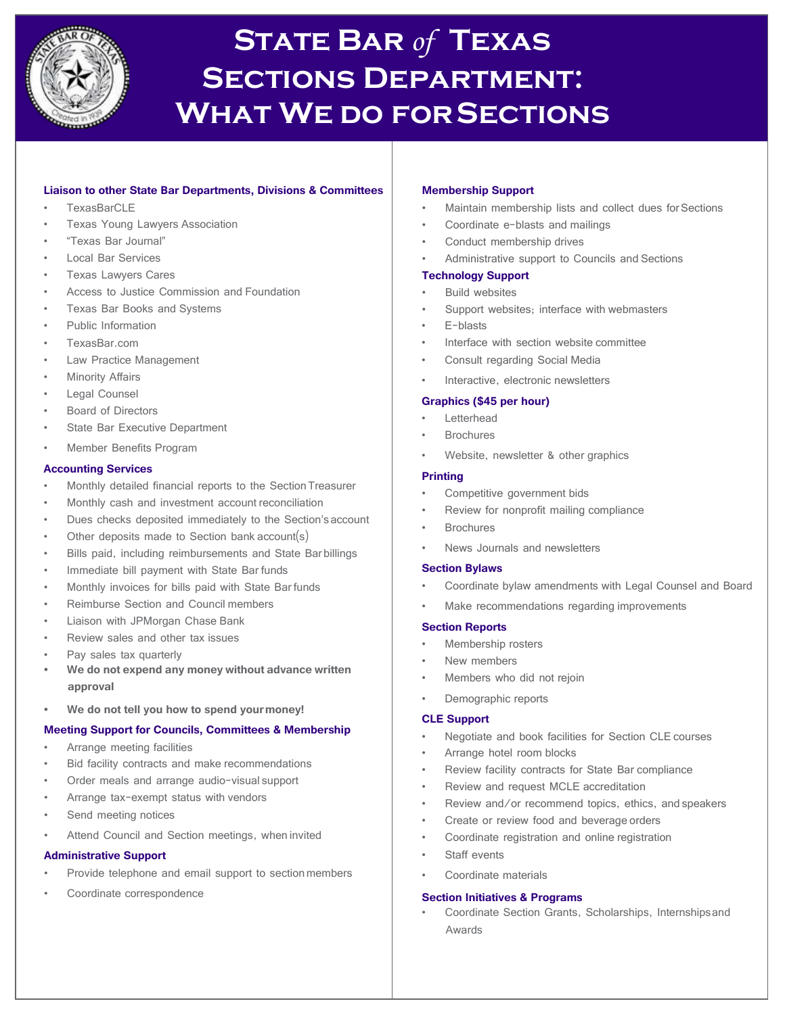

# **State Bar** *of* **Texas Sections Department: What We do forSections**

# **Liaison to other State Bar Departments, Divisions & Committees**

- TexasBarCLE
- Texas Young Lawyers Association
- "Texas Bar Journal"
- Local Bar Services
- Texas Lawyers Cares
- Access to Justice Commission and Foundation
- Texas Bar Books and Systems
- Public Information
- TexasBar.com
- Law Practice Management
- **Minority Affairs**
- Legal Counsel
- Board of Directors
- State Bar Executive Department
- Member Benefits Program

#### **Accounting Services**

- Monthly detailed financial reports to the Section Treasurer
- Monthly cash and investment account reconciliation
- Dues checks deposited immediately to the Section's account
- Other deposits made to Section bank account(s)
- Bills paid, including reimbursements and State Barbillings
- Immediate bill payment with State Bar funds
- Monthly invoices for bills paid with State Bar funds
- Reimburse Section and Council members
- Liaison with JPMorgan Chase Bank
- Review sales and other tax issues
- Pay sales tax quarterly
- **• We do not expend any money without advance written approval**
- **• We do not tell you how to spend yourmoney!**

# **Meeting Support for Councils, Committees & Membership**

- Arrange meeting facilities
- Bid facility contracts and make recommendations
- Order meals and arrange audio-visual support
- Arrange tax-exempt status with vendors
- Send meeting notices
- Attend Council and Section meetings, when invited

# **Administrative Support**

- Provide telephone and email support to section members
- Coordinate correspondence

#### **Membership Support**

- Maintain membership lists and collect dues for Sections
- Coordinate e-blasts and mailings
- Conduct membership drives
- Administrative support to Councils and Sections

# **Technology Support**

- Build websites
- Support websites; interface with webmasters
- E-blasts
- Interface with section website committee
- Consult regarding Social Media
- Interactive, electronic newsletters

#### **Graphics (\$45 per hour)**

- **Letterhead**
- **Brochures**
- Website, newsletter & other graphics

#### **Printing**

- Competitive government bids
- Review for nonprofit mailing compliance
- **Brochures**
- News Journals and newsletters

#### **Section Bylaws**

- Coordinate bylaw amendments with Legal Counsel and Board
- Make recommendations regarding improvements

#### **Section Reports**

- Membership rosters
- New members
- Members who did not rejoin
- Demographic reports

#### **CLE Support**

- Negotiate and book facilities for Section CLE courses
	- Arrange hotel room blocks
- Review facility contracts for State Bar compliance
- Review and request MCLE accreditation
- Review and/or recommend topics, ethics, and speakers
- Create or review food and beverage orders
- Coordinate registration and online registration
- Staff events
- Coordinate materials

# **Section Initiatives & Programs**

• Coordinate Section Grants, Scholarships, Internshipsand Awards